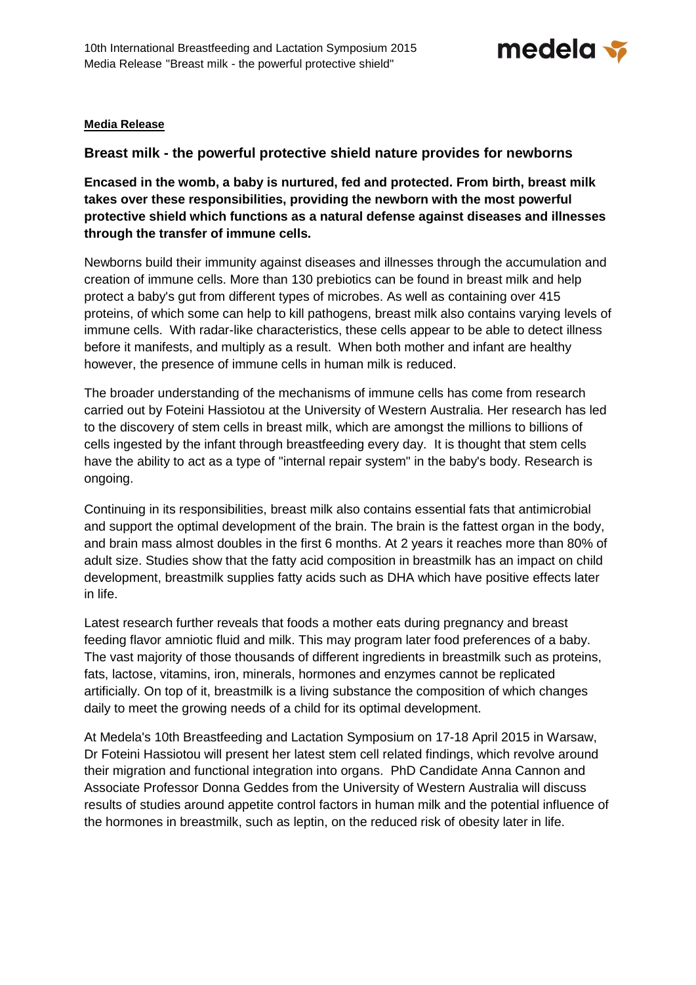

# **Media Release**

# **Breast milk - the powerful protective shield nature provides for newborns**

**Encased in the womb, a baby is nurtured, fed and protected. From birth, breast milk takes over these responsibilities, providing the newborn with the most powerful protective shield which functions as a natural defense against diseases and illnesses through the transfer of immune cells.** 

Newborns build their immunity against diseases and illnesses through the accumulation and creation of immune cells. More than 130 prebiotics can be found in breast milk and help protect a baby's gut from different types of microbes. As well as containing over 415 proteins, of which some can help to kill pathogens, breast milk also contains varying levels of immune cells. With radar-like characteristics, these cells appear to be able to detect illness before it manifests, and multiply as a result. When both mother and infant are healthy however, the presence of immune cells in human milk is reduced.

The broader understanding of the mechanisms of immune cells has come from research carried out by Foteini Hassiotou at the University of Western Australia. Her research has led to the discovery of stem cells in breast milk, which are amongst the millions to billions of cells ingested by the infant through breastfeeding every day. It is thought that stem cells have the ability to act as a type of "internal repair system" in the baby's body. Research is ongoing.

Continuing in its responsibilities, breast milk also contains essential fats that antimicrobial and support the optimal development of the brain. The brain is the fattest organ in the body, and brain mass almost doubles in the first 6 months. At 2 years it reaches more than 80% of adult size. Studies show that the fatty acid composition in breastmilk has an impact on child development, breastmilk supplies fatty acids such as DHA which have positive effects later in life.

Latest research further reveals that foods a mother eats during pregnancy and breast feeding flavor amniotic fluid and milk. This may program later food preferences of a baby. The vast majority of those thousands of different ingredients in breastmilk such as proteins, fats, lactose, vitamins, iron, minerals, hormones and enzymes cannot be replicated artificially. On top of it, breastmilk is a living substance the composition of which changes daily to meet the growing needs of a child for its optimal development.

At Medela's 10th Breastfeeding and Lactation Symposium on 17-18 April 2015 in Warsaw, Dr Foteini Hassiotou will present her latest stem cell related findings, which revolve around their migration and functional integration into organs. PhD Candidate Anna Cannon and Associate Professor Donna Geddes from the University of Western Australia will discuss results of studies around appetite control factors in human milk and the potential influence of the hormones in breastmilk, such as leptin, on the reduced risk of obesity later in life.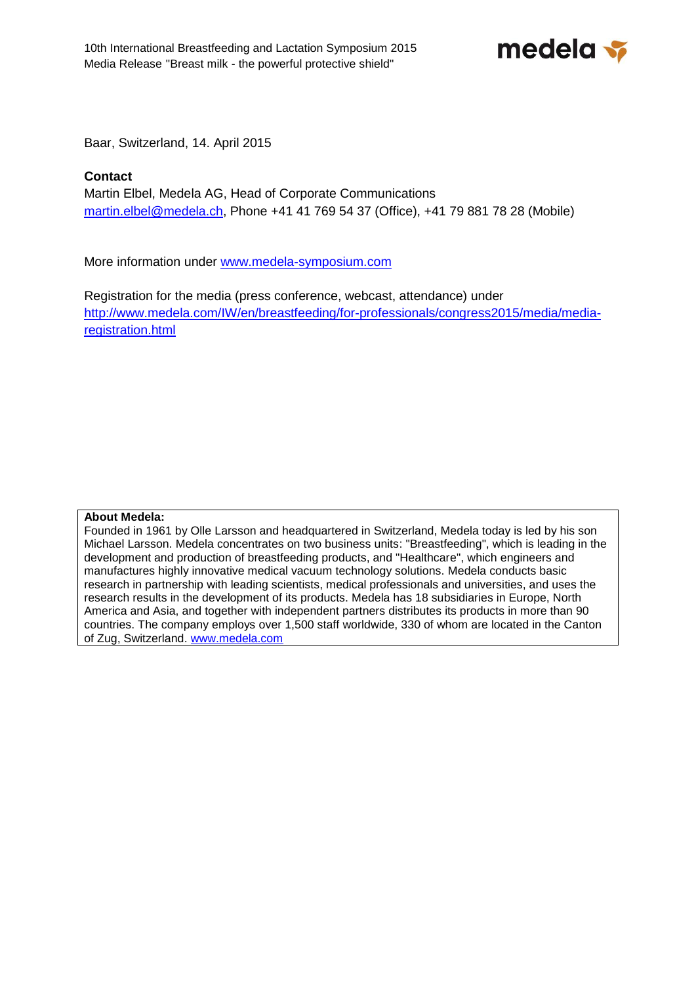medela <del>></del>

Baar, Switzerland, 14. April 2015

# **Contact**

Martin Elbel, Medela AG, Head of Corporate Communications [martin.elbel@medela.ch,](mailto:martin.elbel@medela.ch) Phone +41 41 769 54 37 (Office), +41 79 881 78 28 (Mobile)

More information under [www.medela-symposium.com](http://www.medela-symposium.com/)

Registration for the media (press conference, webcast, attendance) under [http://www.medela.com/IW/en/breastfeeding/for-professionals/congress2015/media/media](http://www.medela.com/IW/en/breastfeeding/for-professionals/congress2015/media/media-registration.html)[registration.html](http://www.medela.com/IW/en/breastfeeding/for-professionals/congress2015/media/media-registration.html) 

# **About Medela:**

Founded in 1961 by Olle Larsson and headquartered in Switzerland, Medela today is led by his son Michael Larsson. Medela concentrates on two business units: "Breastfeeding", which is leading in the development and production of breastfeeding products, and "Healthcare", which engineers and manufactures highly innovative medical vacuum technology solutions. Medela conducts basic research in partnership with leading scientists, medical professionals and universities, and uses the research results in the development of its products. Medela has 18 subsidiaries in Europe, North America and Asia, and together with independent partners distributes its products in more than 90 countries. The company employs over 1,500 staff worldwide, 330 of whom are located in the Canton of Zug, Switzerland. [www.medela.com](http://www.medela.com/)